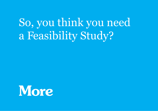So, you think you need a Feasibility Study?

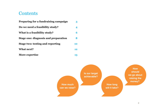# **Contents**

| Preparing for a fundraising campaign    | 3  |
|-----------------------------------------|----|
| Do we need a feasibility study?         | 4  |
| What is a feasibility study?            | 6  |
| Stage one: diagnosis and preparation    | 8  |
| <b>Stage two: testing and reporting</b> | 10 |
| What next?                              | 12 |
| More expertise                          | 13 |

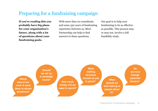# Preparing for a fundraising campaign

**If you're reading this you probably have big plans for your organisation's future, along with a lot of questions about your fundraising goals.** 

With more than 20 consultants and some 350 years of fundraising experience between us, More Partnership can help to find answers to those questions.

Our goal is to help your fundraising to be as effective as possible. This process may, or may not, involve a full feasibility study.

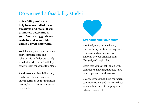# Do we need a feasibility study?

**A feasibility study can help to answer all of these questions and more. It will ultimately determine if your fundraising goals are realistic and achievable within a given timeframe.** 

We'll look at your organisation's story, infrastructure and relationship with donors to help you decide whether a feasibility study is right for you at this stage.

A well-executed feasibility study can be hugely beneficial, not only in terms of your fundraising results, but to your organisation as a whole.

# **Strengthening your story**

- A refined, more targeted story that outlines your fundraising cause in a clear and compelling way. This will be your organisation's *Campaign Case for Support*
- Goals that you can talk about with confidence, knowing that they have your supporters' endorsement
- Clear messages that drive campaign communications and motivate those who are interested in helping you achieve those goals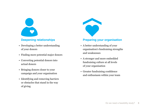

#### **Deepening relationships**

- Developing a better understanding of your donors
- Finding more potential major donors
- Converting potential donors into actual donors
- Bringing donors closer to your campaign and your organisation
- Identifying and removing barriers or obstacles that stand in the way of giving



#### **Preparing your organisation**

- A better understanding of your organisation's fundraising strengths and weaknesses
- A stronger and more embedded fundraising culture at all levels of your organisation
- Greater fundraising confidence and enthusiasm within your team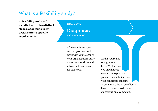# What is a feasibility study?

**A feasibility study will usually feature two distinct stages, adapted to your organisation's specific requirements.**

**STAGE ONE**

**Diagnosis and preparation**

After examining your current position, we'll work with you to ensure your organisation's story, donor relationships and infrastructure are ready for stage two.

And if you're not ready, we can help. We'll advise you on what you need to do to prepare yourselves and to increase your fundraising income. Around one third of our clients have extra work to do before embarking on a campaign.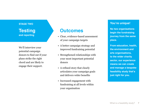### **STAGE TWO Testing and reporting**

We'll interview your potential campaign donors to find out if your plans strike the right chord and are likely to engage their support.

# **Outcomes**

- Clear, evidence-based assessment of your campaign targets
- A better campaign strategy and improved fundraising potential
- Strengthened relationships with your most important potential donors
- A refined story that clearly articulates your campaign goals and delivers wider benefits
- Increased engagement with fundraising at all levels within your organisation

#### **You're unique!**

**No two organisations begin the fundraising journey from the same place.**

**From education, health, the environment and arts organisations, to the wider charity sector, our experience means we can create and manage a bespoke feasibility study that's just right for you.**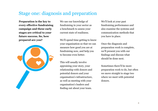# Stage one: diagnosis and preparation

**Preparation is the key to every effective fundraising campaign and these early stages are critical to your future success. So, how prepared are you?** 



We use our knowledge of fundraising in your sector as a benchmark to assess your current state of readiness.

We'll spend time getting to know your organisation so that we can measure how good you are at fundraising now, and help you to become even better.

This will usually involve appraising your story, your relationship with donors and potential donors and your organisation's infrastructure, as well as meeting with your organisation's leaders and finding out about your team.

We'll look at your past fundraising performance and also examine the systems and communication methods that you have in place.

Once the diagnosis and preparation work is complete, we'll present you with our findings and discuss what should be done next.

Sometimes there'll be more preparation work to do, but often we move straight to stage two where we meet with potential donors.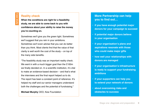#### **Reality check**

**When the conditions are right for a feasibility study, we are able to come back to you with confidence about your ability to raise the money you're counting on.** 

Sometimes we'll give you the green light. Sometimes we'll suggest that you rein in your ambitions. Sometimes we'll even advise that you can do better than you think. Most clients find that the value of that clarity is well worth the cost of the study – on top of the many side benefits.

"The feasibility study was an important reality check. We went in with a much bigger goal than the £100m we finally decided on. In a scientific institution, it's vital to make an evidence-based decision – and that's what the interviews and the final report helped us to do. The report has been a constant point of reference. It's helped my staff and our senior managers understand both the challenges and the potential of fundraising."

**Michael Murphy** CEO, Kew Foundation

#### **More Partnership can help you to find out…**

- **• if you have enough potential major donors for your campaign to succeed**
- **• if potential major donors believe in your organisation**
- **• if your organisation's plans and aspirations resonate with those who could make major gifts**
- **• how well your relationships with donors are managed**
- **• if your organisation's infrastructure is ready to support your fundraising ambitions**
- **• if your supporters can help you to extend your network of donors**
- **• about overcoming risks and obstacles to success**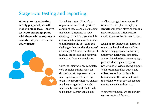# Stage two: testing and reporting

**When your organisation is fully prepared, we will move to stage two. Here we test your campaign plans with those whose support is essential if you are to meet your targets.**



We will test perceptions of your organisation and its story with a sample of those capable of making the biggest difference to your campaign to find out how credible and compelling your vision is, and to understand the obstacles and challenges that stand in the way of achieving it. Throughout this, we'll manage the process and keep you updated with regular feedback.

Once the interviews are complete, we'll compile a draft report for discussion before presenting the final report to your leadership team. The report will focus on how much your organisation could realistically raise and what needs to be done to achieve this figure.

We'll also suggest ways you could raise even more, for example, by strengthening your story, or through new recruitment, infrastructure developments or better networking.

Last, but not least, we are happy to remain on hand at the end of the study to help get your fundraising under way quickly and smoothly. We can help develop your campaign plan, conduct regular progress reviews and provide ongoing support. We'll recommend key targets and milestones and set achievable timescales for the work that needs to be done. We can provide regular mentoring and coaching too.

Whatever you need, we can be with you every step of the way.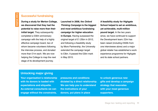#### **Successful fundraising**

**During a study for Merton College, we discovered that they had the potential to raise more than their initial target.** They subsequently completed a £30m anniversary campaign with the help of a highly effective campaign board, two of whom became volunteers following the interview process, and donated more than £1m each. We are now helping the College to map the next stage of its development journey.

**Launched in 2008, the** *Oxford Thinking Campaign* **is the biggest and most ambitious fundraising campaign for higher education in Europe.** Having surpassed the original target of £1.25bn in 2012, and following a feasibility study by More Partnership, the University extended the campaign target to £3bn. It passed the £2bn mark in May 2015.

**A feasibility study for Highgate School helped to set an ambitious, yet achievable, multi-million pound target.** In the two years since, we have continued to support the Development team; £2m has been raised (including £500k from one interviewee alone) and a major global retailer has established a work experience programme for Highgate and its state school partners.

#### **Unlocking major giving**

**Your organisation's relationship with its donors is loaded with expectations and etiquette. As external consultants we can engage without the constraints,** 

**pressures and conditions dictated by a direct relationship. We can help you to understand the motivations of your donors, put plans in place** 

**to unlock generous new gifts and develop a campaign strategy that resonates with your most generous supporters.**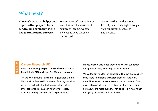## What next?

**The work we do to help your organisation prepare for a fundraising campaign is the key to fundraising success.** 

Having assessed your potential and identified the most viable sources of income, we can help you to keep the show on the road.

We can be there with ongoing help, if you need us, right through your fundraising campaign and beyond.

#### **Cancer Research UK**

**A feasibility study helped Cancer Research UK to launch their £100m** *Create the Change* **campaign.**

"As we were about to launch the largest appeal in our history, More Partnership was one of the organisations we invited to tender for the feasibility study. While other consultancies came in with very set ideas, More Partnership listened. Their experience and

professionalism also made them credible with our senior management. They won the pitch hands down.

We started out with ten key questions. Through the feasibility study, More Partnership answered them all – and many more. They helped us to understand the motivations of our major gift prospects and the challenges ahead for a charity more attuned to mass support. They told it like it was, rather than giving us what we wanted to hear.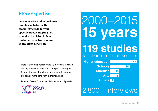# More expertise

**Our expertise and experience enables us to tailor the feasibility study to your specific needs, helping you to make the right choices and steer your fundraising in the right direction.**

More Partnership represented us incredibly well with our high-level supporters and prospects. The great feedback we got from them only served to increase our senior managers' faith in their findings."

**Russell Delew** Director of Major Gifts and Appeals



# **15 years**  2000–2015

**119 studies** for clients from all sectors

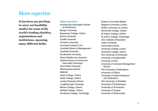# More expertise

**It has been our privilege to carry out feasibility studies for some of the world's leading charities, organisations and institutions, spanning many different fields.**

#### **Higher education**

Architectural Association School of Architecture Bangor University Brasenose College, Oxford Brunel University Cardiff University Coventry University Courtauld Institute of Art Cranfield School of Management Cranfield University De Montfort University Ecole hôtelière de Lausanne Helsinki School of Economics (now Aalto University) Heriot-Watt University IMD Business School INSEAD Jesus College, Oxford Keble College, Oxford London Business School Loughborough University Merton College, Oxford Nuffield College, Oxford Pembroke College, Cambridge

Queen's University Belfast Regent's University London SOAS, University of London Somerville College, Oxford St Hugh's College, Oxford St John's College, Cambridge UCL Institute of Education Ulster University Universiteit Utrecht University College London University College, Oxford The University of Edinburgh University of Huddersfield University of Kent University of Liverpool Management **School** The University of Nottingham University of Oxford University of Oxford Museums and Collections The University of Sheffield University of Southampton University of St Andrews University of Sussex University of Westminster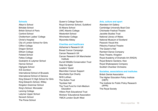#### **Schools**

Alleyn's School Birkdale School British School of Paris Canford School Cheltenham Ladies' College Christ's Hospital City of London School for Girls Clifton College Dragon School Eltham College Felsted School Fettes College Godolphin & Latymer School Harrow School Highgate School ICS Zumikon International School of Brussels International School of Geneva King Edward VI High School for Girls King Edward's School, Witley Kingston Grammar School King's School, Worcester Lancing College Latymer Upper School Norwich School The Perse School

Queen's College Taunton Royal Grammar School, Guildford St Albans School UWC Atlantic College Westonbirt School Winchester College Wycombe Abbey

#### **Charities and healthcare**

Alzheimer's Research UK Breast Cancer Campaign Cancer Research UK Cancer Research UK Manchester Institute Durrell Wildlife Conservation Trust Help the Aged Leaders' Quest Macmillan Cancer Support Moorfields Eye Charity NHS Lothian The Sutton Trust Toynbee Hall The Trust Fund for Irish-Medium Education Villiers Park Educational Trust Workers' Educational Association YMCA London South West

#### **Arts, culture and sport**

Aberdeen Art Gallery Cambridge University Boat Club Chichester Festival Theatre Jacobite Studies Trust National Library of Wales National Museum of Scotland Peacock Visual Arts Pitlochry Festival Theatre The Queen's Hall Rambert Dance Company Rose Theatre, Kingston Royal Academy of Dramatic Art (RADA) Royal Botanic Gardens, Kew Royal Shakespeare Company Scottish Chamber Orchestra

#### **Societies, associations and institutes**

British Dental Association The Higher Education Policy Institute (HEPI) The Institute for Public Policy Research (IPPR) The Royal Society